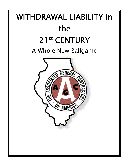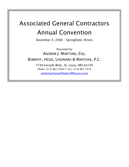# Associated General Contractors Annual Convention

December 4, 2006 – Springfield, Illinois

Presented by: ANDREW J. MARTONE, ESQ. BOBROFF, HESSE, LINDMARK & MARTONE, P.C. 7730 Forsyth Blvd., St. Louis, MO 63105 Phone: (314) 862-0300 • Fax: (314) 862-7010 [andymartone@bobroffhesse.com](mailto:andymartone@bobroffhesse.com)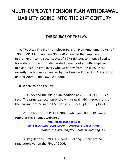# MULTI-EMPLOYER PENSION PLAN WITHDRAWAL LIABILITY GOING INTO THE 21ST CENTURY

# I. THE SOURCE OF THE LAW

 A. The Act . The Multi-employer Pension Plan Amendments Act of 1980 ("MPPAA") (Pub. Law 96-364) amended the Employee Retirement Income Security Act of 1974 (ERISA), to impose liability for a share of the unfunded vested benefits of a multi-employer pension plan on employers who withdraw from the plan. Most recently the law was amended by the Pension Protection Act of 2006 (PPA of 2006) (Pub. Law 109-280).

B. Where to find the law.

 1. ERISA and the MPPAA are codified at 29 U.S.C. §1001, et seq. The principal location of the withdrawal liability provisions of the law are located in the US Code at 29 U.S.C. §1381 - §1453.

 2. The text of the PPA of 2006 (Pub. Law 109-280) can be found at the Thomas website at:

> [http://thomas.loc.gov/cgi](http://thomas.loc.gov/cgi-bin/bdquery/z?d109:HR00004:|TOM:/bss/d109query.html|)[bin/bdquery/z?d109:HR00004:|TOM:/bss/d109query.html|](http://thomas.loc.gov/cgi-bin/bdquery/z?d109:HR00004:|TOM:/bss/d109query.html|)  (Note: It is very lengthy – almost 400 pages.)

 3. Regulations - 29 C.F.R. §4000, et seq. There are no regulations yet on the PPA of 2006.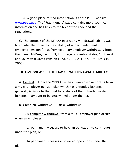4. A good place to find information is at the PBGC website: www.pbgc.gov The "Practitioners" page contains more technical information and has links to the text of the code and the regulations.

 C. The purpose of the MPPAA in creating withdrawal liability was to counter the threat to the viability of under funded multiemployer pension funds from voluntary employer withdrawals from the plans. MPPAA, Section 3; Borntrager v. Central States, Southeast and Southwest Areas Pension Fund, 425 F.3d 1087, 1089 (8th Cir. 2005).

# II. OVERVIEW OF THE LAW OF WITHDRAWAL LIABILITY

 A. General. Under the MPPAA, when an employer withdraws from a multi-employer pension plan which has unfunded benefits, it generally is liable to the fund for a share of the unfunded vested benefits in amount to be determined under the Act.

#### B. Complete Withdrawal / Partial Withdrawal

 1. A complete withdrawal from a multi-employer plan occurs when an employer:

 a) permanently ceases to have an obligation to contribute under the plan, or

 b) permanently ceases all covered operations under the plan.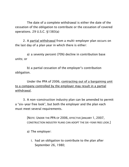The date of a complete withdrawal is either the date of the cessation of the obligation to contribute or the cessation of covered operations. 29 U.S.C. §1383(a)

 2. A partial withdrawal from a multi-employer plan occurs on the last day of a plan year in which there is either:

 a) a seventy percent (70%) decline in contribution base units; or

 b) a partial cessation of the employer's contribution obligation.

 Under the PPA of 2006, contracting out of a bargaining unit to a company controlled by the employer may result in a partial withdrawal.

 3. A non-construction industry plan can be amended to permit a "six-year free look", but both the employer and the plan each must meet several requirements.

> [NOTE: UNDER THE PPA OF 2006, EFFECTIVE JANUARY 1, 2007, CONSTRUCTION INDUSTRY PLANS CAN ADOPT THE SIX-YEAR FREE LOOK.]

a) The employer:

 i. had an obligation to contribute to the plan after September 26, 1980;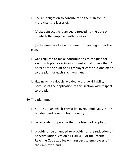- ii. had an obligation to contribute to the plan for no more than the lesser of:
	- (a) six consecutive plan years preceding the date on which the employer withdraws or

 (b) the number of years required for vesting under the plan.

- iii. was required to make contributions to the plan for each such plan year in an amount equal to less than 2 percent of the sum of all employer contributions made to the plan for each such year; and
- iv. Has never previously avoided withdrawal liability because of the application of this section with respect to the plan.
- b) The plan must:
	- i. not be a plan which primarily covers employees in the building and construction industry;
	- ii. be amended to provide that the free look applies;
	- iii. provide or be amended to provide for the reduction of benefits under Section 411(a)(3)(E) of the Internal Revenue Code applies with respect to employees of the employer; and,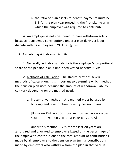iv. the ratio of plan assets to benefit payments must be 8:1 for the plan year preceding the first plan year in which the employer was required to contribute.

 4. An employer is not considered to have withdrawn solely because it suspends contributions under a plan during a labor dispute with its employees. 29 U.S.C. §1398.

C. Calculating Withdrawal Liability

 1. Generally, withdrawal liability is the employer's proportional share of the pension plan's unfunded vested benefits (UVBs).

 2. Methods of calculation. The statute provides several methods of calculation. It is important to determine which method the pension plan uses because the amount of withdrawal liability can vary depending on the method used.

> a) Presumptive method – this method must be used by building and construction industry pension plans.

 [UNDER THE PPA OF 2006, CONSTRUCTION INDUSTRY PLANS CAN ADOPT OTHER METHODS, EFFECTIVE JANUARY 1, 2007.]

 Under this method, UVBs for the last 20 years are amortized and allocated to employers based on the percentage of the employer's contributions to the total amount of contributions made by all employers to the pension plan (minus contributions made by employers who withdrew from the plan in that year in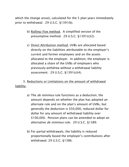which the change arose), calculated for the 5 plan years immediately prior to withdrawal. 29 U.S.C. §1391(b).

- b) Rolling-Five method. A simplified version of the presumptive method. 29 U.S.C. §1391(c)(2).
- c) Direct Attribution method. UVBs are allocated based directly on the liabilities attributable to the employer's current and former employees and on the assets allocated to the employer. In addition, the employer is allocated a share of the UVBs of employers who previously withdrew without a withdrawal liability assessment. 29 U.S.C. §1391(c)(4).

 3. Reductions or Limitations on the amount of withdrawal liability.

- a) The *de minimus* rule functions as a deduction: the amount depends on whether the plan has adopted an alternate rule and on the plan's amount of UVBs, but generally the deduction is \$50,000, reduced dollar for dollar for any amount of withdrawal liability over \$100,000. Pension plans can be amended to adopt an alternative *de minimus* rule. 29 U.S.C. §1389.
- b) For partial withdrawals, the liability is reduced proportionally based the employer's contributions after withdrawal. 29 U.S.C. §1386.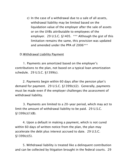c) In the case of a withdrawal due to a sale of all assets, withdrawal liability may be limited based on the liquidation value of the employer after the sale of assets or on the UVBs attributable to employees of the employer. 29 U.S.C. §1405. \*\*\* Although the gist of this limitation remains the same, this provision was updated and amended under the PPA of 2006\*\*\*

#### D. Withdrawal Liability Payment

 1. Payments are amortized based on the employer's contributions to the plan, not based on a typical loan amortization schedule. 29 U.S.C. §1399(c).

 2. Payments begin within 60 days after the pension plan's demand for payment. 29 U.S.C. §1399(c)(2). Generally, payments must be made even if the employer challenges the assessment of withdrawal liability.

 3. Payments are limited to a 20-year period, which may act to limit the amount of withdrawal liability to be paid. 29 U.S.C.  $$1399(c)(1)(B)$ .

 4. Upon a default in making a payment, which is not cured within 60 days of written notice from the plan, the plan may accelerate the debt plus interest accrued to date. 29 U.S.C.  $§1399(c)(5).$ 

 5. Withdrawal liability is treated like a delinquent contribution and can be collected by litigation brought in the federal courts. 29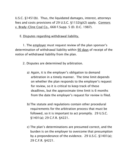U.S.C. §1451(b). Thus, the liquidated damages, interest, attorneys fees and costs provisions of 29 U.S.C. §1132(g)(2) apply. Connors v. Brady-Cline Coal Co., 668 F.Supp. 5 (D. D.C. 1987).

#### E. Disputes regarding withdrawal liability.

 1. The employer must request review of the plan sponsor's determination of withdrawal liability within 90 days of receipt of the notice of withdrawal liability from the plan.

2. Disputes are determined by arbitration.

- a) Again, it is the employer's obligation to demand arbitration in a timely manner. The time limit depends on whether the plan responds to the employer's request for review, so it is critical to keep track of these deadlines, but the approximate time limit is 6 months from the date the employer's request for review is filed.
- b) The statute and regulations contain other procedural requirements for the arbitration process that must be followed, so it is important to act promptly. 29 U.S.C. §1401(a); 29 C.F.R. §4221.
- c) The plan's determinations are presumed correct, and the burden is on the employer to overcome that presumption by a preponderance of the evidence. 29 U.S.C. §1401(a); 29 C.F.R. §4221.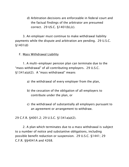d) Arbitration decisions are enforceable in federal court and the factual findings of the arbitrator are presumed correct. 29 US.C. §1401(b),(c).

 3. An employer must continue to make withdrawal liability payments while the dispute and arbitration are pending. 29 U.S.C. §1401(d)

F. Mass Withdrawal Liability

 1. A multi-employer pension plan can terminate due to the "mass withdrawal" of all contributing employers. 29 U.S.C. §1341a(a)(2). A "mass withdrawal" means

- a) the withdrawal of every employer from the plan,
- b) the cessation of the obligation of all employers to contribute under the plan, or
- c) the withdrawal of substantially all employers pursuant to an agreement or arrangement to withdraw.

29 C.F.R. §4001.2; 29 U.S.C. §1341a(a)(2).

 2. A plan which terminates due to a mass withdrawal is subject to a number of notice and substantive obligations, including possible benefit reduction or suspension. 29 U.S.C. §1441; 29 C.F.R. §§4041A and 4268.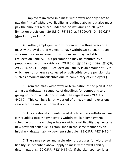3. Employers involved in a mass withdrawal not only have to pay the "initial" withdrawal liability as outlined above, but also must pay the amounts reduced under the *de minimus* and 20-year limitation provisions. 29 U.S.C. §§1389(c), 1399(c)(1)(D); 29 C.F.R. §§4219.11, 4219.12.

 4. Further, employers who withdraw within three years of a mass withdrawal are presumed to have withdrawn pursuant to an agreement or arrangement to withdraw and may be liable for reallocation liability. This presumption may be rebutted by a preponderance of the evidence. 29 U.S.C. §§1389(d), 1399(c)(1)(D); 29 C.F.R. §4219.12(g). [Reallocation liability is an amount of UVBs which are not otherwise collected or collectible by the pension plan, such as amounts uncollectible due to bankruptcy of employers.]

 5. From the mass withdrawal or termination of the plan due to a mass withdrawal, a sequence of deadlines for computing and giving notice of liability occur under the regulations (29 C.F.R. §4219). This can be a lengthy period of time, extending over one year after the mass withdrawal occurs.

 6. Any additional amounts owed due to a mass withdrawal are either added into the employer's withdrawal liability payment schedule or, if the employer has no withdrawal liability payments, a new payment schedule is established in the same manner as an initial withdrawal liability payment schedule. 29 C.F.R. §4219.16(f).

 7. The same review and arbitration procedures for withdrawal liability, as described above, apply to mass withdrawal liability determinations. 29 C.F.R. §4219.16(g). If the plan sponsor later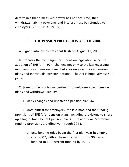determines that a mass withdrawal has not occurred, then withdrawal liability payments and interest must be refunded to employers. 29 C.F.R. 4219.16(i).

## III. THE PENSION PROTECTION ACT OF 2006.

A. Signed into law by President Bush on August 17, 2006.

 B. Probably the most significant pension legislation since the adoption of ERISA in 1974; changes not only to the law regarding multi-employer pension plans, but also single employer pension plans and individuals' pension options. The Act is huge, almost 400 pages.

 C. Some of the provisions pertinent to multi-employer pension plans and withdrawal liability

1. Many changes and updates to pension plan law.

 2. Most critical for employers, the PPA modified the funding provisions of ERISA for pension plans, including provisions to shore up ailing defined benefit pension plans. The additional/corrective funding provisions are effective through 2014.

> a) New funding rules begin the first plan year beginning after 2007, with a phased transition from 90 percent funding to 100 percent funding by 2011.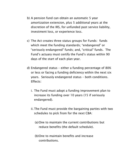- b) A pension fund can obtain an automatic 5 year amortization extension, plus 5 additional years at the discretion of the IRS, for unfunded past service liability, investment loss, or experience loss.
- c) The Act creates three status groups for Funds: funds which meet the funding standards; "endangered" or "seriously endangered" funds; and, "critical" funds. The Fund's actuary must certify the Fund's status within 90 days of the start of each plan year.
- d) Endangered status either a funding percentage of 80% or less or facing a funding deficiency within the next six years. Seriously endangered status – both conditions. Effects:
	- i. The Fund must adopt a funding improvement plan to increase its funding over 10 years (15 if seriously endangered).
	- ii. The Fund must provide the bargaining parties with two schedules to pick from for the next CBA:
		- (a) One to maintain the current contributions but reduce benefits (the default schedule).
		- (b) One to maintain benefits and increase contributions.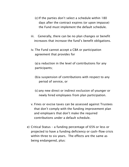- (c) If the parties don't select a schedule within 180 days after the contract expires (or upon impasse) the Fund must implement the default schedule.
- iii. Generally, there can be no plan changes or benefit increases that increase the fund's benefit obligations.
- iv. The Fund cannot accept a CBA or participation agreement that provides for

 (a) a reduction in the level of contributions for any participants;

- (b) a suspension of contributions with respect to any period of service, or
- (c) any new direct or indirect exclusion of younger or newly hired employees from plan participation.
- v. Fines or excise taxes can be assessed against Trustees that don't comply with the funding improvement plan and employers that don't make the required contributions under a default schedule.
- e) Critical Status a funding percentage of 65% or less or projected to have a funding deficiency or cash-flow crisis within three to six years. The effects are the same as being endangered, plus: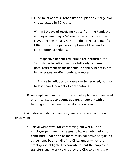- i. Fund must adopt a "rehabilitation" plan to emerge from critical status in 10 years.
- ii. Within 30 days of receiving notice from the Fund, the employer must pay a 5% surcharge on contributions (10% after the initial year) until the effective data of a CBA in which the parties adopt one of the Fund's contribution schedules.
- iii. Prospective benefit reductions are permitted for "adjustable benefits", such as full early retirement, post-retirement death benefits, disability benefits not in pay status, or 60-month guarantees.
- iv. Future benefit accrual rates can be reduced, but not to less than 1 percent of contributions.
- f) An employer can file suit to compel a plan in endangered or critical status to adopt, update, or comply with a funding improvement or rehabilitation plan.

 3. Withdrawal liability changes (generally take effect upon enactment)

> a) Partial withdrawal for contracting out work. If an employer permanently ceases to have an obligation to contribute under one or more of its collective bargaining agreement, but not all of its CBAs, under which the employer is obligated to contribute, but the employer transfers such work covered by the CBA to an entity or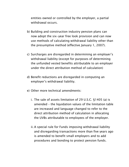entities owned or controlled by the employer, a partial withdrawal occurs.

- b) Building and construction industry pension plans can now adopt the six-year free look provision and can now use methods of calculating withdrawal liability other than the presumptive method (effective January 1, 2007).
- c) Surcharges are disregarded in determining an employer's withdrawal liability (except for purposes of determining the unfunded vested benefits attributable to an employer under the direct attribution method of calculation)
- d) Benefit reductions are disregarded in computing an employer's withdrawal liability.
- e) Other more technical amendments:
	- i. The sale of assets limitation of 29 U.S.C. §1405 (a) is amended – the liquidation values of the limitation table are increased and language changed to refer to the direct attribution method of calculation in allocating the UVBs attributable to employees of the employer.
	- ii. A special rule for Funds imposing withdrawal liability and disregarding transactions more than five years ago is amended to benefit small employers and to add procedures and bonding to protect pension funds.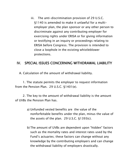iii. The anti-discrimination provision of 29 U.S.C. §1140 is amended to make it unlawful for a multiemployer plan, the plan sponsor or any other person to discriminate against any contributing employer for exercising rights under ERISA or for giving information or testifying in an inquiry or proceedings relating to ERISA before Congress. The provision is intended to close a loophole in the existing whistleblower protections.

## IV. SPECIAL ISSUES CONCERNING WITHDRAWAL LIABILITY

A. Calculation of the amount of withdrawal liability.

 1. The statute permits the employer to request information from the Pension Plan. 29 U.S.C. §1401(e).

 2. The key to the amount of withdrawal liability is the amount of UVBs the Pension Plan has.

- a) Unfunded vested benefits are the value of the nonforfeitable benefits under the plan, minus the value of the assets of the plan. 29 U.S.C. §1393(c).
- b) The amount of UVBs are dependent upon "hidden" factors such as the mortality rates and interest rates used by the Fund's actuaries; these factors can change without any knowledge by the contributing employers and can change the withdrawal liability of employers drastically.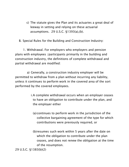c) The statute gives the Plan and its actuaries a great deal of leeway in setting and relying on these actuarial assumptions. 29 U.S.C. §1393(a),(b).

B. Special Rules for the Building and Construction Industry:

 1. Withdrawal. For employers who employers and pension plans with employees /participants primarily in the building and construction industry, the definitions of complete withdrawal and partial withdrawal are modified:

 a) Generally, a construction industry employer will be permitted to withdraw from a plan without incurring any liability, unless it continues to perform work in the covered area of the sort performed by the covered employees.

- i. A complete withdrawal occurs when an employer ceases to have an obligation to contribute under the plan, and the employer either
	- (a) continues to perform work in the jurisdiction of the collective bargaining agreement of the type for which contributions were previously required, or
	- (b) resumes such work within 5 years after the date on which the obligation to contribute under the plan ceases, and does not renew the obligation at the time of the resumption.

```
29 U.S.C. §1383(b)(2)
```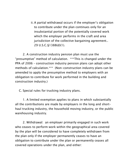ii. A partial withdrawal occurs if the employer's obligation to contribute under the plan continues only for an insubstantial portion of the potentially covered work which the employer performs in the craft and area jurisdiction of the collective bargaining agreement.. 29 U.S.C.§1388(d)(1).

 2. A construction industry pension plan must use the "presumptive" method of calculation. \*\*\*This is changed under the PPA of 2006 – construction industry pension plans can adopt other methods of calculation.\*\*\* (Non-construction industry plans can be amended to apply the presumptive method to employers with an obligation to contribute for work performed in the building and construction industry.)

C. Special rules for trucking industry plans.

 1. A limited exemption applies to plans in which substantially all the contributions are made by employers in the long and shorthaul trucking industry, the household moving industry, or the public warehousing industry.

 2. Withdrawal: an employer primarily engaged in such work who ceases to perform work within the geographical area covered by the plan will be considered to have completely withdrawn from the plan only if the employer permanently ceases to have an obligation to contribute under the plan or permanently ceases all covered operations under the plan, and either: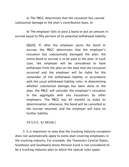a) The PBGC determines that the cessation has caused substantial damage to the plan's contribution base, or

 b) The employer fails to post a bond or put an amount in escrow equal to fifty percent of its potential withdrawal liability.

> [NOTE: If, after the employer posts the bond or escrow, the PBGC determines that the employer's cessation has substantially damaged the plan, the entire bond or escrow is to be paid to the plan. In such case, the employer will be considered to have withdrawn from the plan on the date that the cessation occurred and the employer will be liable for the remainder of the withdrawal liability in accordance with the usual withdrawal liability rules. In determining whether substantial damage has been done to the plan, the PBGC will consider the employer's cessation in the aggregate with any cessations by other employers. The PBGC has 60 months to make its determination; otherwise, the bond will be cancelled or the escrow returned, and the employer will have no further liability.

29 U.S.C. §1383(d).]

 3. It is important to note that the trucking industry exception does not automatically apply to every plan covering employees in the trucking industry. For example, the Teamsters Central States, Southeast and Southwest Areas Pension Fund is not considered to be a trucking industry plan to which the special rules apply.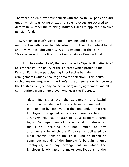Therefore, an employer must check with the particular pension fund under which its trucking or warehouse employees are covered to determine whether the trucking industry rules are applicable to such pension fund.

 D. A pension plan's governing documents and policies are important in withdrawal liability situations. Thus, it is critical to get and review those documents. A good example of this is the "Adverse Selection" policy of the Central States Pension Fund.

 1. In November 1990, the Fund issued a "Special Bulletin" 90-7 to "emphasize" the policy of the Trustees which prohibits the Pension Fund from participating in collective bargaining arrangements which encourage adverse selection. This policy capitalizes on language in the Plan's trust agreement which permits the Trustees to reject any collective bargaining agreement and all contributions from an employer whenever the Trustees:

> "determine either that the agreement is unlawful and/or inconsistent with any rule or requirement for participation by Employers in the Fund and/or that the Employer is engaged in one or more practices or arrangements that threaten to cause economic harm to, and/or impairment of the actuarial soundness of, the Fund (including but not limited to any arrangement in which the Employer is obligated to make contributions to the Trust Fund on behalf of some but not all of the Employer's bargaining unit employees, and any arrangement in which the Employer is obligated to make contributions to the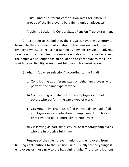Trust Fund at different contribution rates for different groups of the Employer's bargaining unit employees.)"

Article III, Section 1, Central States Pension Trust Agreement

 2. According to the bulletin, the Trustees have the authority to terminate the continued participation in the Pension Fund of an employer whose collective bargaining agreement results in "adverse selection". Such termination causes a withdrawal to occur because the employer no longer has an obligation to contribute to the Fund; a withdrawal liability assessment follows such a termination.

- 3. What is "adverse selection", according to the Fund?
	- a) Contributing at different rates on behalf employees who perform the same type of work;
	- b) Contributing on behalf of some employees and not others who perform the same type of work;
	- c) Covering only certain specified individuals instead of all employees in a classification of employment, such as only covering older, more senior employees;
	- d) Classifying as part-time, casual, or temporary employees who are in practice full-time.

 4. Purpose of the rule: prevent unions and employers from limiting contributions to the Pension Fund, usually for the youngest employees or those new to the bargaining unit. Those contributions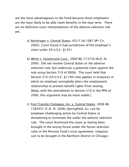are the most advantageous to the Fund because those employees are the least likely to be able claim benefits in the near term. There are no definitive court interpretations of the adverse selection rule yet.

- a) Borntrager v. Central States, 425 F.3d 1087 (8th Cir. 2005) Court found it had jurisdiction of the employer's claim under 29 U.S.C. §1451.
- b) White v. Sundstrand Corp., 2000 WL 713739 (N.D. Ill. 2000. Did not involve Central States or the adverse selection rule, but undercuts a potential claim against the rule using Section 510 of ERISA. The court held that Section 510 (29 U.S.C. §1140) only applies in instances in which an employer wrongfully alters the employment relationship to prevent benefit rights from vesting. [Note, with the amendment to Section 510 in the PPA of 2006, this argument may be more viable.]
- c) Fort Transfer Company, Inc. v. Central States, 2006 WL 1582451 (C.D. Ill. 2006) (Springfield, IL), suit by employer challenging action by Central States in threatening to terminate the under the adverse selection rule. The court dismissed the cases as having been brought in the wrong forum under the forum selection rules in the Pension Fund's trust agreement. (requires suit to be brought in the Northern District in Chicago)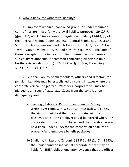#### E. Who is liable for withdrawal liability?

 1. Employers within a "controlled group" or under "common control" for are linked for withdrawal liability purposes. 29 C.F.R. §§4001.2, 4001.3 (incorporating regulations under §414(b), (c) of the Internal Revenue Code); see, e.g., Central States, Southeast and Southwest Areas Pension Fund v. NAVCO, 3 F.3d 167, 172 (7th Cir. 1993); Vaughn v. Sexton, 975 F.2d 498 (8th Cir. 1992). The core of these concepts is holding a controlling interest (as in a parentsubsidiary relationship) or common controlling ownership (in a brother-sister relationship). 26 U.S.C.A. §1563(a), Treas. Reg.  $\S1.414(b)-1, \S1.414(c)-1, 2.$ 

 2. Personal liability of shareholders, officers and directors for pension liabilities may be established by courts in cases where the corporate veil can be pierced. Whether a corporate veil may be pierced is an issue of state law. Cases from the contribution delinquency area:

- a) See, e.g., Laborers' Pension Trust Fund v. Sidney Weinberger Homes, Inc., 872 F.2d 702 (6th Cir. 1988), the Sixth Circuit held that the corporate veil of a dissolved corporate employer could be pierced where the corporate form was not followed and the shareholder was held liable under ERISA for the corporation's failure to properly fund employee benefit packages.
- b) Similarly, in Sasso v. Cervoni, 985 F.2d 49 (2d Cir. 1993), the Court found an individual corporate officer may be liable for ERISA obligations upon evidence that the officer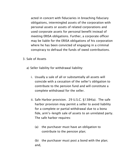acted in concert with fiduciaries in breaching fiduciary obligations, intermingled assets of the corporation with personal assets or assets of related corporations and used corporate assets for personal benefit instead of meeting ERISA obligations. Further, a corporate officer may be liable for the ERISA obligations of his corporation where he has been convicted of engaging in a criminal conspiracy to defraud the funds of owed contributions.

- 3. Sale of Assets
	- a) Seller liability for withdrawal liability:
		- i. Usually a sale of all or substantially all assets will coincide with a cessation of the seller's obligation to contribute to the pension fund and will constitute a complete withdrawal for the seller.
		- ii. Safe Harbor provision. 29 U.S.C. §1384(a). The safe harbor provision may permit a seller to avoid liability for a complete or partial withdrawal due to a bona fide, arm's-length sale of assets to an unrelated party. The safe harbor requires:
			- (a) the purchaser must have an obligation to contribute to the pension plan;

 (b) the purchaser must post a bond with the plan; and,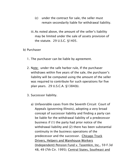- (c) under the contract for sale, the seller must remain secondarily liable for withdrawal liability.
- iii. As noted above, the amount of the seller's liability may be limited under the sale of assets provision of the statute. 29 U.S.C. §1405.
- b) Purchaser
	- 1. The purchaser can be liable by agreement.
	- 2. Note: under the safe harbor rule, If the purchaser withdraws within five years of the sale, the purchaser's liability will be computed using the amount of the seller was required to contribute for such operations for five plan years. 29 U.S.C.A. §1384(b).
	- 3. Successor liability.
		- a) Unfavorable cases from the Seventh Circuit Court of Appeals (governing Illinois), adopting a very broad concept of successor liability and finding a party can be liable for the withdrawal liability of a predecessor business if (1) the party had prior notice of the withdrawal liability and (2) there has been substantial continuity in the business operations of the predecessor and the successor. Chicago Truck Drivers, Helpers and Warehouse Workers (Independent) Pension Fund v. Tasemkin, Inc., 59 F.3d 48, 49 (7th Cir. 1995); Central States, Southeast and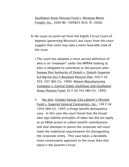Southwest Areas Pension Fund v. Wiseway Motor Freight, Inc., 2000 WL 1409825 (N.D. Ill. 2000).

- b) No cases on point yet from the Eighth Circuit Court of Appeals (governing Missouri), but cases from the court suggest that court may take a more favorable view of the issue.
	- i. The court has adopted a more narrow definition of who is an "employer" under the MPPAA looking at who is obligated to contribute to the pension plan. Seaway Port Authority of Duluth v. Duluth-Superior ILA Marine Ass'n Restated Pension Plan, 920 F.2d 503, 507 (8th Cir. 1990); Rheem Manufacturing Company v. Central States Southeast and Southwest Areas Pension Fund, 63 F.3d 703 (8th Cir. 1995).
	- ii. See also, Greater Kansas City Laborer's Pension Fund v. Superior General Contractors, Inc., 104 F.3d 1050 (8th Cir. 1997) a fringe benefit delinquency case. In this case the court found that the broad alter ego liability principles of labor law did not apply to an ERISA action to collect benefit contributions and that attempts to pierce the corporate veil must meet the traditional requirements for disregarding the corporate entity. This case takes a decidedly more conservative approach to the issue than that taken n the Seventh Circuit.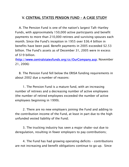# V. CENTRAL STATES PENSION FUND – A CASE STUDY

A. The Pension Fund is one of the nation's largest Taft-Hartley Funds, with approximately 150,000 active participants and benefit payments to more than 210,000 retirees and surviving spouses each month. Since the Fund's inception in 1955 over \$36.4 billion in benefits have been paid. Benefit payments in 2005 exceeded \$2.53 billion. The Fund's assets as of December 31, 2005 were in excess of \$19 billion.

([http://www.centralstatesfunds.org/cs/OurCompany.asp;](http://www.centralstatesfunds.org/cs/OurCompany.asp) November 21, 2006)

B. The Pension Fund fell below the ERISA funding requirements in about 2002 due a number of reasons:

 1. The Pension Fund is a mature fund, with an increasing number of retirees and a decreasing number of active employees (the number of retired employees exceeded the number of active employees beginning in 1999).

 2. There are no new employers joining the Fund and adding to the contribution income of the Fund, at least in part due to the high unfunded vested liability of the Fund;

 3. The trucking industry has seen a major shake-out due to deregulation, resulting in fewer employers to pay contributions;

 4. The Fund has had growing operating deficits – contributions are not increasing and benefit obligations continue to go up. Since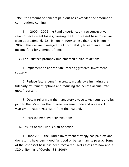1985, the amount of benefits paid out has exceeded the amount of contributions coming in.

 5. In 2000 – 2002 the Fund experienced three consecutive years of investment losses, causing the Fund's asset base to decline from approximately \$21 billion in 1999 to less than \$16 billion in 2002. This decline damaged the Fund's ability to earn investment income for a long period of time.

C. The Trustees promptly implemented a plan of action:

 1. Implement an appropriate (more aggressive) investment strategy;

 2. Reduce future benefit accruals, mostly by eliminating the full early retirement options and reducing the benefit accrual rate (now 1 percent);

 3. Obtain relief from the mandatory excise taxes required to be paid to the IRS under the Internal Revenue Code and obtain a 10 year amortization extension from the IRS; and,

4. Increase employer contributions.

D. Results of the Fund's plan of action.

 1. Since 2002, the Fund's investment strategy has paid off and the returns have been good (as good or better than its peers). Some of the lost asset base has been recovered. Net assets are now about \$20 billion (as of October 31, 2006).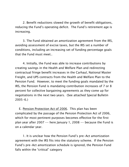2. Benefit reductions slowed the growth of benefit obligations, reducing the Fund's operating deficit. The Fund's retirement age is increasing.

 3. The Fund obtained an amortization agreement from the IRS, avoiding assessment of excise taxes, but the IRS set a number of conditions, including an increasing set of funding percentage goals that the Fund must meet..

 4. Initially, the Fund was able to increase contributions by creating savings in the Health and Welfare Plan and redirecting contractual fringe benefit increases in the Carhaul, National Master Freight, and UPS contracts from the Health and Welfare Plan to the Pension Fund. However, to meet the funding goals mandated by the IRS, the Pension Fund is mandating contribution increases of 7 or 8 percent for collective bargaining agreements as they come up for negotiations in the next two years. (See attached Special Bulletin  $2005 - 6.$ 

 E. Pension Protection Act of 2006. This plan has been complicated by the passage of the Pension Protection Act of 2006, which for most pertinent purposes becomes effective for the first plan year after 2007  $-$  here January 1, 2008  $-$  because the Fund is on a calendar year.

 1. It is unclear how the Pension Fund's pre-Act amortization agreement with the IRS fits into the statutory scheme. If the Pension Fund's pre-Act amortization schedule is ignored, the Pension Fund falls within the "critical" category